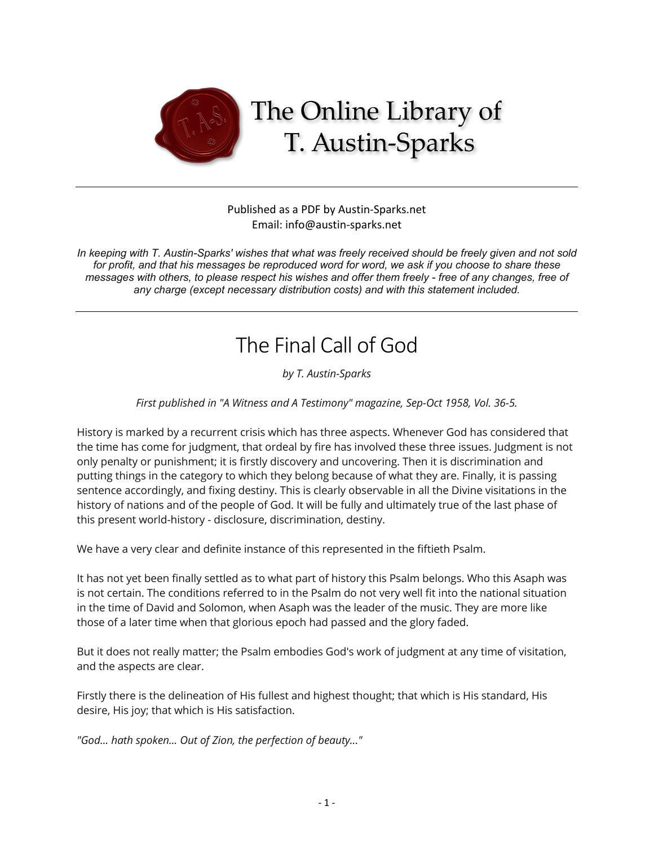

## Published as a PDF by Austin-Sparks.net Email: info@austin-sparks.net

*In keeping with T. Austin-Sparks' wishes that what was freely received should be freely given and not sold for profit, and that his messages be reproduced word for word, we ask if you choose to share these messages with others, to please respect his wishes and offer them freely - free of any changes, free of any charge (except necessary distribution costs) and with this statement included.*

## The Final Call of God

*by T. Austin-Sparks*

*First published in "A Witness and A Testimony" magazine, Sep-Oct 1958, Vol. 36-5.*

History is marked by a recurrent crisis which has three aspects. Whenever God has considered that the time has come for judgment, that ordeal by fire has involved these three issues. Judgment is not only penalty or punishment; it is firstly discovery and uncovering. Then it is discrimination and putting things in the category to which they belong because of what they are. Finally, it is passing sentence accordingly, and fixing destiny. This is clearly observable in all the Divine visitations in the history of nations and of the people of God. It will be fully and ultimately true of the last phase of this present world-history - disclosure, discrimination, destiny.

We have a very clear and definite instance of this represented in the fiftieth Psalm.

It has not yet been finally settled as to what part of history this Psalm belongs. Who this Asaph was is not certain. The conditions referred to in the Psalm do not very well fit into the national situation in the time of David and Solomon, when Asaph was the leader of the music. They are more like those of a later time when that glorious epoch had passed and the glory faded.

But it does not really matter; the Psalm embodies God's work of judgment at any time of visitation, and the aspects are clear.

Firstly there is the delineation of His fullest and highest thought; that which is His standard, His desire, His joy; that which is His satisfaction.

*"God... hath spoken... Out of Zion, the perfection of beauty..."*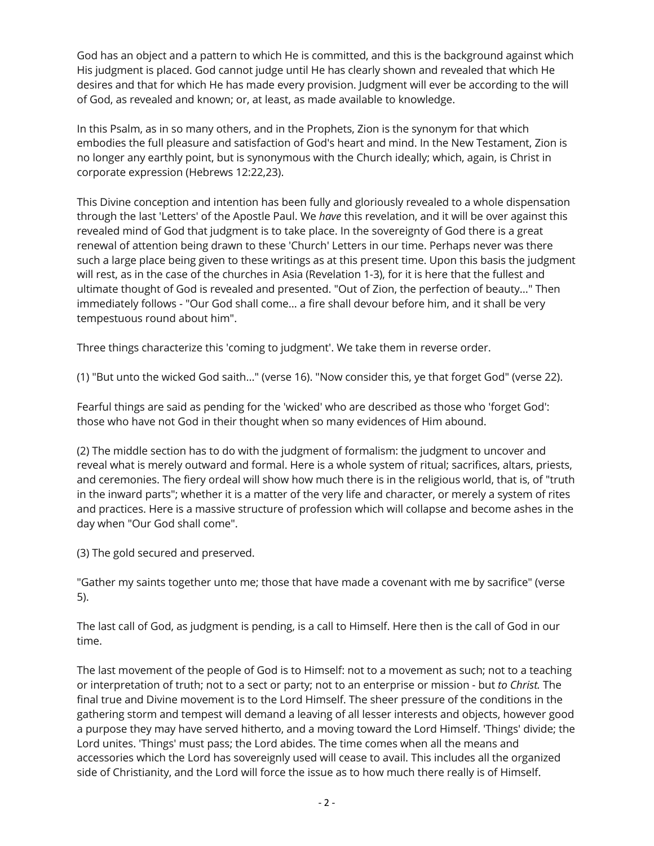God has an object and a pattern to which He is committed, and this is the background against which His judgment is placed. God cannot judge until He has clearly shown and revealed that which He desires and that for which He has made every provision. Judgment will ever be according to the will of God, as revealed and known; or, at least, as made available to knowledge.

In this Psalm, as in so many others, and in the Prophets, Zion is the synonym for that which embodies the full pleasure and satisfaction of God's heart and mind. In the New Testament, Zion is no longer any earthly point, but is synonymous with the Church ideally; which, again, is Christ in corporate expression (Hebrews 12:22,23).

This Divine conception and intention has been fully and gloriously revealed to a whole dispensation through the last 'Letters' of the Apostle Paul. We *have* this revelation, and it will be over against this revealed mind of God that judgment is to take place. In the sovereignty of God there is a great renewal of attention being drawn to these 'Church' Letters in our time. Perhaps never was there such a large place being given to these writings as at this present time. Upon this basis the judgment will rest, as in the case of the churches in Asia (Revelation 1-3), for it is here that the fullest and ultimate thought of God is revealed and presented. "Out of Zion, the perfection of beauty..." Then immediately follows - "Our God shall come... a fire shall devour before him, and it shall be very tempestuous round about him".

Three things characterize this 'coming to judgment'. We take them in reverse order.

(1) "But unto the wicked God saith..." (verse 16). "Now consider this, ye that forget God" (verse 22).

Fearful things are said as pending for the 'wicked' who are described as those who 'forget God': those who have not God in their thought when so many evidences of Him abound.

(2) The middle section has to do with the judgment of formalism: the judgment to uncover and reveal what is merely outward and formal. Here is a whole system of ritual; sacrifices, altars, priests, and ceremonies. The fiery ordeal will show how much there is in the religious world, that is, of "truth in the inward parts"; whether it is a matter of the very life and character, or merely a system of rites and practices. Here is a massive structure of profession which will collapse and become ashes in the day when "Our God shall come".

(3) The gold secured and preserved.

"Gather my saints together unto me; those that have made a covenant with me by sacrifice" (verse 5).

The last call of God, as judgment is pending, is a call to Himself. Here then is the call of God in our time.

The last movement of the people of God is to Himself: not to a movement as such; not to a teaching or interpretation of truth; not to a sect or party; not to an enterprise or mission - but *to Christ.* The final true and Divine movement is to the Lord Himself. The sheer pressure of the conditions in the gathering storm and tempest will demand a leaving of all lesser interests and objects, however good a purpose they may have served hitherto, and a moving toward the Lord Himself. 'Things' divide; the Lord unites. 'Things' must pass; the Lord abides. The time comes when all the means and accessories which the Lord has sovereignly used will cease to avail. This includes all the organized side of Christianity, and the Lord will force the issue as to how much there really is of Himself.